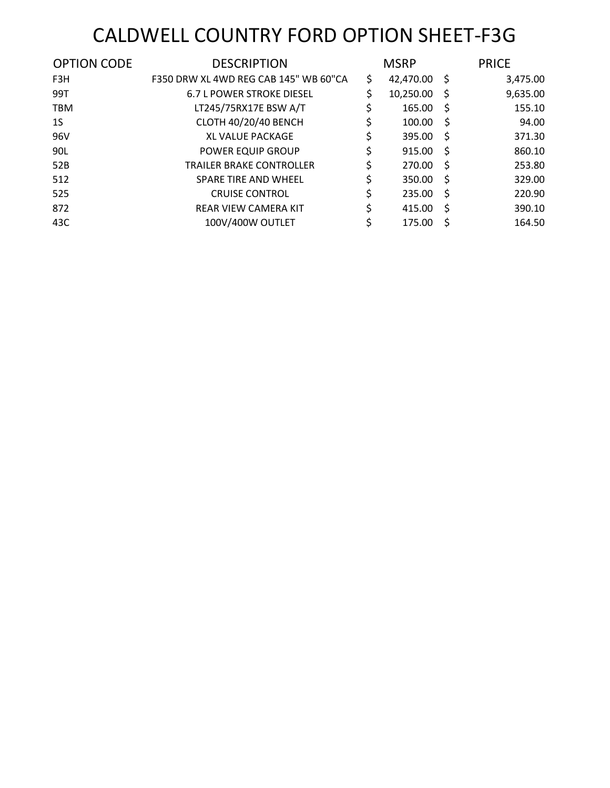# CALDWELL COUNTRY FORD OPTION SHEET-F3G

| <b>OPTION CODE</b> | <b>DESCRIPTION</b>                    | <b>MSRP</b>     |     | <b>PRICE</b> |
|--------------------|---------------------------------------|-----------------|-----|--------------|
| F3H                | F350 DRW XL 4WD REG CAB 145" WB 60"CA | \$<br>42,470.00 | -S  | 3,475.00     |
| 99T                | <b>6.7 L POWER STROKE DIESEL</b>      | \$<br>10,250.00 | -S  | 9,635.00     |
| <b>TBM</b>         | LT245/75RX17E BSW A/T                 | \$<br>165.00    | -S  | 155.10       |
| 1S                 | <b>CLOTH 40/20/40 BENCH</b>           | \$<br>100.00    | -S  | 94.00        |
| 96V                | <b>XL VALUE PACKAGE</b>               | \$<br>395.00    | -Ŝ  | 371.30       |
| 90L                | POWER EQUIP GROUP                     | \$<br>915.00    | -Ŝ  | 860.10       |
| 52B                | <b>TRAILER BRAKE CONTROLLER</b>       | \$<br>270.00    | -Ŝ  | 253.80       |
| 512                | SPARE TIRE AND WHEEL                  | \$<br>350.00    | -Ŝ  | 329.00       |
| 525                | <b>CRUISE CONTROL</b>                 | \$<br>235.00    | -S  | 220.90       |
| 872                | <b>REAR VIEW CAMERA KIT</b>           | \$<br>415.00    | -Ŝ  | 390.10       |
| 43C                | 100V/400W OUTLET                      | \$<br>175.00    | \$, | 164.50       |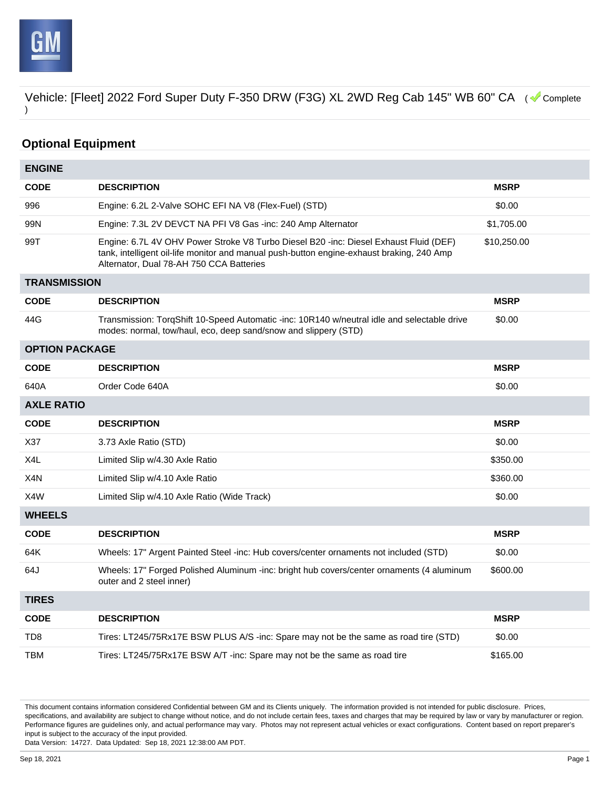

# **Optional Equipment**

| <b>ENGINE</b>         |                                                                                                                                                                                                                                |             |
|-----------------------|--------------------------------------------------------------------------------------------------------------------------------------------------------------------------------------------------------------------------------|-------------|
| <b>CODE</b>           | <b>DESCRIPTION</b>                                                                                                                                                                                                             | <b>MSRP</b> |
| 996                   | Engine: 6.2L 2-Valve SOHC EFI NA V8 (Flex-Fuel) (STD)                                                                                                                                                                          | \$0.00      |
| 99N                   | Engine: 7.3L 2V DEVCT NA PFI V8 Gas -inc: 240 Amp Alternator                                                                                                                                                                   | \$1,705.00  |
| 99T                   | Engine: 6.7L 4V OHV Power Stroke V8 Turbo Diesel B20 -inc: Diesel Exhaust Fluid (DEF)<br>tank, intelligent oil-life monitor and manual push-button engine-exhaust braking, 240 Amp<br>Alternator, Dual 78-AH 750 CCA Batteries | \$10,250.00 |
| <b>TRANSMISSION</b>   |                                                                                                                                                                                                                                |             |
| <b>CODE</b>           | <b>DESCRIPTION</b>                                                                                                                                                                                                             | <b>MSRP</b> |
| 44G                   | Transmission: TorqShift 10-Speed Automatic -inc: 10R140 w/neutral idle and selectable drive<br>modes: normal, tow/haul, eco, deep sand/snow and slippery (STD)                                                                 | \$0.00      |
| <b>OPTION PACKAGE</b> |                                                                                                                                                                                                                                |             |
| <b>CODE</b>           | <b>DESCRIPTION</b>                                                                                                                                                                                                             | <b>MSRP</b> |
| 640A                  | Order Code 640A                                                                                                                                                                                                                | \$0.00      |
| <b>AXLE RATIO</b>     |                                                                                                                                                                                                                                |             |
| <b>CODE</b>           | <b>DESCRIPTION</b>                                                                                                                                                                                                             | <b>MSRP</b> |
| X37                   | 3.73 Axle Ratio (STD)                                                                                                                                                                                                          | \$0.00      |
| X4L                   | Limited Slip w/4.30 Axle Ratio                                                                                                                                                                                                 | \$350.00    |
| X4N                   | Limited Slip w/4.10 Axle Ratio                                                                                                                                                                                                 | \$360.00    |
| X4W                   | Limited Slip w/4.10 Axle Ratio (Wide Track)                                                                                                                                                                                    | \$0.00      |
| <b>WHEELS</b>         |                                                                                                                                                                                                                                |             |
| <b>CODE</b>           | <b>DESCRIPTION</b>                                                                                                                                                                                                             | <b>MSRP</b> |
| 64K                   | Wheels: 17" Argent Painted Steel -inc: Hub covers/center ornaments not included (STD)                                                                                                                                          | \$0.00      |
| 64J                   | Wheels: 17" Forged Polished Aluminum -inc: bright hub covers/center ornaments (4 aluminum<br>outer and 2 steel inner)                                                                                                          | \$600.00    |
| <b>TIRES</b>          |                                                                                                                                                                                                                                |             |
| <b>CODE</b>           | <b>DESCRIPTION</b>                                                                                                                                                                                                             | <b>MSRP</b> |
| TD <sub>8</sub>       | Tires: LT245/75Rx17E BSW PLUS A/S -inc: Spare may not be the same as road tire (STD)                                                                                                                                           | \$0.00      |
| <b>TBM</b>            | Tires: LT245/75Rx17E BSW A/T -inc: Spare may not be the same as road tire                                                                                                                                                      | \$165.00    |

This document contains information considered Confidential between GM and its Clients uniquely. The information provided is not intended for public disclosure. Prices, specifications, and availability are subject to change without notice, and do not include certain fees, taxes and charges that may be required by law or vary by manufacturer or region. Performance figures are guidelines only, and actual performance may vary. Photos may not represent actual vehicles or exact configurations. Content based on report preparer's input is subject to the accuracy of the input provided.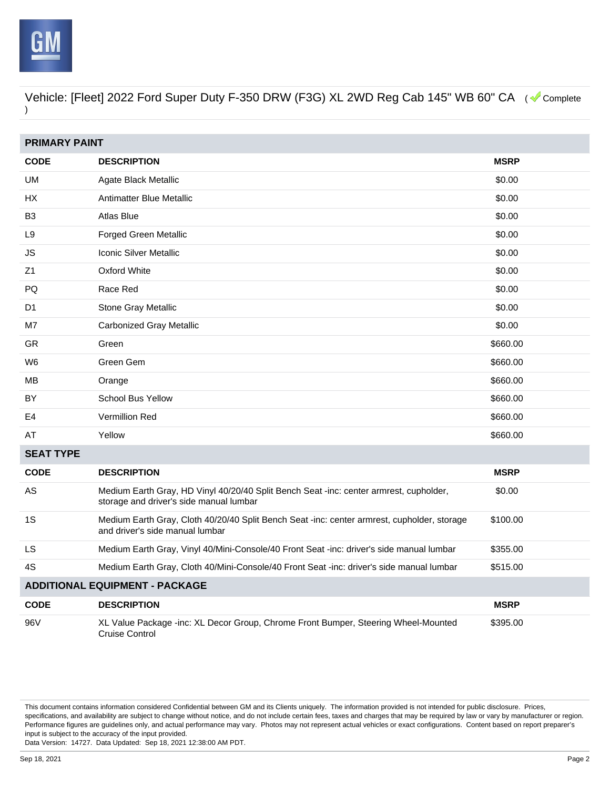

| <b>PRIMARY PAINT</b>                  |                                                                                                                                   |             |  |
|---------------------------------------|-----------------------------------------------------------------------------------------------------------------------------------|-------------|--|
| <b>CODE</b>                           | <b>DESCRIPTION</b>                                                                                                                | <b>MSRP</b> |  |
| <b>UM</b>                             | Agate Black Metallic                                                                                                              | \$0.00      |  |
| HX                                    | Antimatter Blue Metallic                                                                                                          | \$0.00      |  |
| B <sub>3</sub>                        | Atlas Blue                                                                                                                        | \$0.00      |  |
| L9                                    | <b>Forged Green Metallic</b>                                                                                                      | \$0.00      |  |
| JS                                    | <b>Iconic Silver Metallic</b>                                                                                                     | \$0.00      |  |
| Z1                                    | <b>Oxford White</b>                                                                                                               | \$0.00      |  |
| PQ                                    | Race Red                                                                                                                          | \$0.00      |  |
| D <sub>1</sub>                        | Stone Gray Metallic                                                                                                               | \$0.00      |  |
| M7                                    | <b>Carbonized Gray Metallic</b>                                                                                                   | \$0.00      |  |
| <b>GR</b>                             | Green                                                                                                                             | \$660.00    |  |
| W <sub>6</sub>                        | Green Gem                                                                                                                         | \$660.00    |  |
| MВ                                    | Orange                                                                                                                            | \$660.00    |  |
| BY                                    | <b>School Bus Yellow</b>                                                                                                          | \$660.00    |  |
| E4                                    | Vermillion Red                                                                                                                    | \$660.00    |  |
| AT                                    | Yellow                                                                                                                            | \$660.00    |  |
| <b>SEAT TYPE</b>                      |                                                                                                                                   |             |  |
| <b>CODE</b>                           | <b>DESCRIPTION</b>                                                                                                                | <b>MSRP</b> |  |
| AS                                    | Medium Earth Gray, HD Vinyl 40/20/40 Split Bench Seat -inc: center armrest, cupholder,<br>storage and driver's side manual lumbar | \$0.00      |  |
| 1S                                    | Medium Earth Gray, Cloth 40/20/40 Split Bench Seat -inc: center armrest, cupholder, storage<br>and driver's side manual lumbar    | \$100.00    |  |
| LS                                    | Medium Earth Gray, Vinyl 40/Mini-Console/40 Front Seat -inc: driver's side manual lumbar                                          | \$355.00    |  |
| 4S                                    | Medium Earth Gray, Cloth 40/Mini-Console/40 Front Seat -inc: driver's side manual lumbar                                          | \$515.00    |  |
| <b>ADDITIONAL EQUIPMENT - PACKAGE</b> |                                                                                                                                   |             |  |
| <b>CODE</b>                           | <b>DESCRIPTION</b>                                                                                                                | <b>MSRP</b> |  |
| 96V                                   | XL Value Package -inc: XL Decor Group, Chrome Front Bumper, Steering Wheel-Mounted<br><b>Cruise Control</b>                       | \$395.00    |  |

This document contains information considered Confidential between GM and its Clients uniquely. The information provided is not intended for public disclosure. Prices, specifications, and availability are subject to change without notice, and do not include certain fees, taxes and charges that may be required by law or vary by manufacturer or region. Performance figures are guidelines only, and actual performance may vary. Photos may not represent actual vehicles or exact configurations. Content based on report preparer's input is subject to the accuracy of the input provided.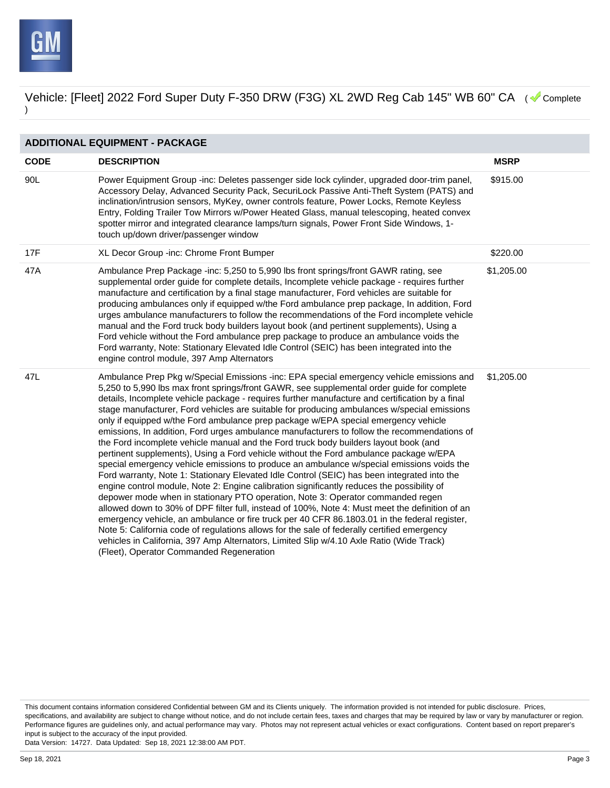

| <b>ADDITIONAL EQUIPMENT - PACKAGE</b> |                                                                                                                                                                                                                                                                                                                                                                                                                                                                                                                                                                                                                                                                                                                                                                                                                                                                                                                                                                                                                                                                                                                                                                                                                                                                                                                                                                                                                                                                                                                                                                                       |             |  |
|---------------------------------------|---------------------------------------------------------------------------------------------------------------------------------------------------------------------------------------------------------------------------------------------------------------------------------------------------------------------------------------------------------------------------------------------------------------------------------------------------------------------------------------------------------------------------------------------------------------------------------------------------------------------------------------------------------------------------------------------------------------------------------------------------------------------------------------------------------------------------------------------------------------------------------------------------------------------------------------------------------------------------------------------------------------------------------------------------------------------------------------------------------------------------------------------------------------------------------------------------------------------------------------------------------------------------------------------------------------------------------------------------------------------------------------------------------------------------------------------------------------------------------------------------------------------------------------------------------------------------------------|-------------|--|
| <b>CODE</b>                           | <b>DESCRIPTION</b>                                                                                                                                                                                                                                                                                                                                                                                                                                                                                                                                                                                                                                                                                                                                                                                                                                                                                                                                                                                                                                                                                                                                                                                                                                                                                                                                                                                                                                                                                                                                                                    | <b>MSRP</b> |  |
| 90L                                   | Power Equipment Group -inc: Deletes passenger side lock cylinder, upgraded door-trim panel,<br>Accessory Delay, Advanced Security Pack, SecuriLock Passive Anti-Theft System (PATS) and<br>inclination/intrusion sensors, MyKey, owner controls feature, Power Locks, Remote Keyless<br>Entry, Folding Trailer Tow Mirrors w/Power Heated Glass, manual telescoping, heated convex<br>spotter mirror and integrated clearance lamps/turn signals, Power Front Side Windows, 1-<br>touch up/down driver/passenger window                                                                                                                                                                                                                                                                                                                                                                                                                                                                                                                                                                                                                                                                                                                                                                                                                                                                                                                                                                                                                                                               | \$915.00    |  |
| 17F                                   | XL Decor Group -inc: Chrome Front Bumper                                                                                                                                                                                                                                                                                                                                                                                                                                                                                                                                                                                                                                                                                                                                                                                                                                                                                                                                                                                                                                                                                                                                                                                                                                                                                                                                                                                                                                                                                                                                              | \$220.00    |  |
| 47A                                   | Ambulance Prep Package -inc: 5,250 to 5,990 lbs front springs/front GAWR rating, see<br>supplemental order guide for complete details, Incomplete vehicle package - requires further<br>manufacture and certification by a final stage manufacturer, Ford vehicles are suitable for<br>producing ambulances only if equipped w/the Ford ambulance prep package, In addition, Ford<br>urges ambulance manufacturers to follow the recommendations of the Ford incomplete vehicle<br>manual and the Ford truck body builders layout book (and pertinent supplements), Using a<br>Ford vehicle without the Ford ambulance prep package to produce an ambulance voids the<br>Ford warranty, Note: Stationary Elevated Idle Control (SEIC) has been integrated into the<br>engine control module, 397 Amp Alternators                                                                                                                                                                                                                                                                                                                                                                                                                                                                                                                                                                                                                                                                                                                                                                      | \$1,205.00  |  |
| 47L                                   | Ambulance Prep Pkg w/Special Emissions -inc: EPA special emergency vehicle emissions and<br>5,250 to 5,990 lbs max front springs/front GAWR, see supplemental order guide for complete<br>details, Incomplete vehicle package - requires further manufacture and certification by a final<br>stage manufacturer, Ford vehicles are suitable for producing ambulances w/special emissions<br>only if equipped w/the Ford ambulance prep package w/EPA special emergency vehicle<br>emissions, In addition, Ford urges ambulance manufacturers to follow the recommendations of<br>the Ford incomplete vehicle manual and the Ford truck body builders layout book (and<br>pertinent supplements), Using a Ford vehicle without the Ford ambulance package w/EPA<br>special emergency vehicle emissions to produce an ambulance w/special emissions voids the<br>Ford warranty, Note 1: Stationary Elevated Idle Control (SEIC) has been integrated into the<br>engine control module, Note 2: Engine calibration significantly reduces the possibility of<br>depower mode when in stationary PTO operation, Note 3: Operator commanded regen<br>allowed down to 30% of DPF filter full, instead of 100%, Note 4: Must meet the definition of an<br>emergency vehicle, an ambulance or fire truck per 40 CFR 86.1803.01 in the federal register,<br>Note 5: California code of regulations allows for the sale of federally certified emergency<br>vehicles in California, 397 Amp Alternators, Limited Slip w/4.10 Axle Ratio (Wide Track)<br>(Fleet), Operator Commanded Regeneration | \$1,205.00  |  |

This document contains information considered Confidential between GM and its Clients uniquely. The information provided is not intended for public disclosure. Prices, specifications, and availability are subject to change without notice, and do not include certain fees, taxes and charges that may be required by law or vary by manufacturer or region. Performance figures are guidelines only, and actual performance may vary. Photos may not represent actual vehicles or exact configurations. Content based on report preparer's input is subject to the accuracy of the input provided.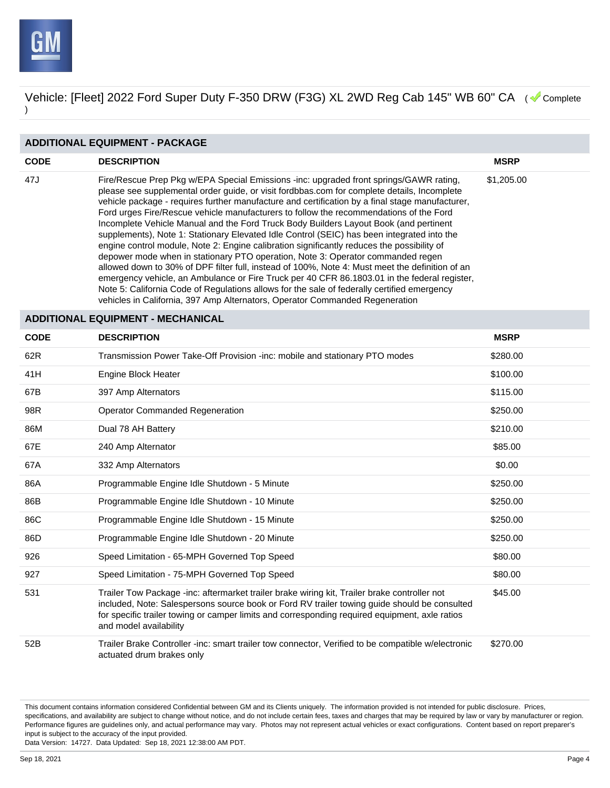

#### **ADDITIONAL EQUIPMENT - PACKAGE**

| <b>CODE</b> | <b>DESCRIPTION</b>                                                                                                                                                                                                                                                                                                                                                                                                                                                                                                                                                                                                                                                                                                                                                                                                                                                                                                                                                                                                                                                                                                                           | <b>MSRP</b> |
|-------------|----------------------------------------------------------------------------------------------------------------------------------------------------------------------------------------------------------------------------------------------------------------------------------------------------------------------------------------------------------------------------------------------------------------------------------------------------------------------------------------------------------------------------------------------------------------------------------------------------------------------------------------------------------------------------------------------------------------------------------------------------------------------------------------------------------------------------------------------------------------------------------------------------------------------------------------------------------------------------------------------------------------------------------------------------------------------------------------------------------------------------------------------|-------------|
| 47J         | Fire/Rescue Prep Pkg w/EPA Special Emissions -inc: upgraded front springs/GAWR rating,<br>please see supplemental order guide, or visit fordbbas.com for complete details, Incomplete<br>vehicle package - requires further manufacture and certification by a final stage manufacturer,<br>Ford urges Fire/Rescue vehicle manufacturers to follow the recommendations of the Ford<br>Incomplete Vehicle Manual and the Ford Truck Body Builders Layout Book (and pertinent<br>supplements), Note 1: Stationary Elevated Idle Control (SEIC) has been integrated into the<br>engine control module, Note 2: Engine calibration significantly reduces the possibility of<br>depower mode when in stationary PTO operation, Note 3: Operator commanded regen<br>allowed down to 30% of DPF filter full, instead of 100%, Note 4: Must meet the definition of an<br>emergency vehicle, an Ambulance or Fire Truck per 40 CFR 86.1803.01 in the federal register,<br>Note 5: California Code of Regulations allows for the sale of federally certified emergency<br>vehicles in California, 397 Amp Alternators, Operator Commanded Regeneration | \$1,205.00  |

## **ADDITIONAL EQUIPMENT - MECHANICAL**

| <b>CODE</b> | <b>DESCRIPTION</b>                                                                                                                                                                                                                                                                                                       | <b>MSRP</b> |
|-------------|--------------------------------------------------------------------------------------------------------------------------------------------------------------------------------------------------------------------------------------------------------------------------------------------------------------------------|-------------|
| 62R         | Transmission Power Take-Off Provision -inc: mobile and stationary PTO modes                                                                                                                                                                                                                                              | \$280.00    |
| 41H         | Engine Block Heater                                                                                                                                                                                                                                                                                                      | \$100.00    |
| 67B         | 397 Amp Alternators                                                                                                                                                                                                                                                                                                      | \$115.00    |
| 98R         | <b>Operator Commanded Regeneration</b>                                                                                                                                                                                                                                                                                   | \$250.00    |
| 86M         | Dual 78 AH Battery                                                                                                                                                                                                                                                                                                       | \$210.00    |
| 67E         | 240 Amp Alternator                                                                                                                                                                                                                                                                                                       | \$85.00     |
| 67A         | 332 Amp Alternators                                                                                                                                                                                                                                                                                                      | \$0.00      |
| 86A         | Programmable Engine Idle Shutdown - 5 Minute                                                                                                                                                                                                                                                                             | \$250.00    |
| 86B         | Programmable Engine Idle Shutdown - 10 Minute                                                                                                                                                                                                                                                                            | \$250.00    |
| 86C         | Programmable Engine Idle Shutdown - 15 Minute                                                                                                                                                                                                                                                                            | \$250.00    |
| 86D         | Programmable Engine Idle Shutdown - 20 Minute                                                                                                                                                                                                                                                                            | \$250.00    |
| 926         | Speed Limitation - 65-MPH Governed Top Speed                                                                                                                                                                                                                                                                             | \$80.00     |
| 927         | Speed Limitation - 75-MPH Governed Top Speed                                                                                                                                                                                                                                                                             | \$80.00     |
| 531         | Trailer Tow Package -inc: aftermarket trailer brake wiring kit, Trailer brake controller not<br>included, Note: Salespersons source book or Ford RV trailer towing guide should be consulted<br>for specific trailer towing or camper limits and corresponding required equipment, axle ratios<br>and model availability | \$45.00     |
| 52B         | Trailer Brake Controller -inc: smart trailer tow connector, Verified to be compatible w/electronic<br>actuated drum brakes only                                                                                                                                                                                          | \$270.00    |

This document contains information considered Confidential between GM and its Clients uniquely. The information provided is not intended for public disclosure. Prices, specifications, and availability are subject to change without notice, and do not include certain fees, taxes and charges that may be required by law or vary by manufacturer or region. Performance figures are guidelines only, and actual performance may vary. Photos may not represent actual vehicles or exact configurations. Content based on report preparer's input is subject to the accuracy of the input provided.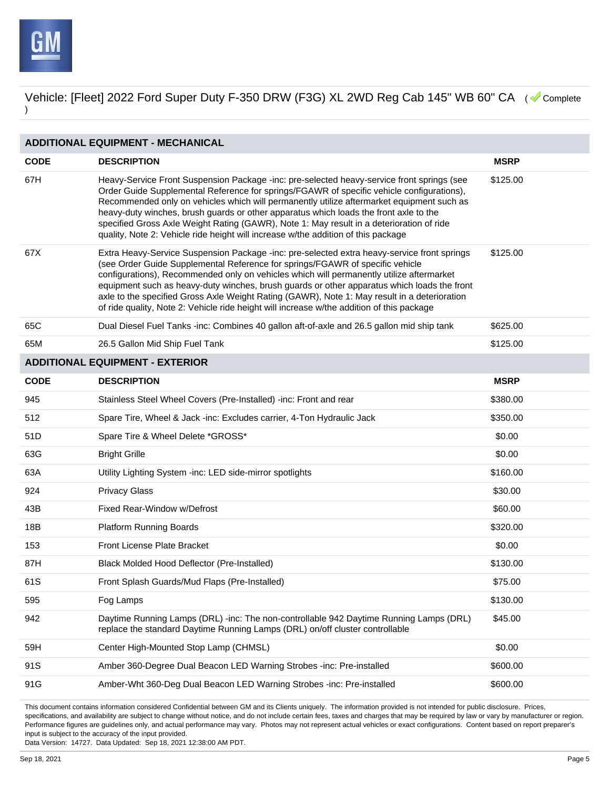

| <b>ADDITIONAL EQUIPMENT - MECHANICAL</b> |                                                                                                                                                                                                                                                                                                                                                                                                                                                                                                                                                                      |             |  |
|------------------------------------------|----------------------------------------------------------------------------------------------------------------------------------------------------------------------------------------------------------------------------------------------------------------------------------------------------------------------------------------------------------------------------------------------------------------------------------------------------------------------------------------------------------------------------------------------------------------------|-------------|--|
| <b>CODE</b>                              | <b>DESCRIPTION</b>                                                                                                                                                                                                                                                                                                                                                                                                                                                                                                                                                   | <b>MSRP</b> |  |
| 67H                                      | Heavy-Service Front Suspension Package -inc: pre-selected heavy-service front springs (see<br>Order Guide Supplemental Reference for springs/FGAWR of specific vehicle configurations),<br>Recommended only on vehicles which will permanently utilize aftermarket equipment such as<br>heavy-duty winches, brush guards or other apparatus which loads the front axle to the<br>specified Gross Axle Weight Rating (GAWR), Note 1: May result in a deterioration of ride<br>quality, Note 2: Vehicle ride height will increase w/the addition of this package       | \$125.00    |  |
| 67X                                      | Extra Heavy-Service Suspension Package -inc: pre-selected extra heavy-service front springs<br>(see Order Guide Supplemental Reference for springs/FGAWR of specific vehicle<br>configurations), Recommended only on vehicles which will permanently utilize aftermarket<br>equipment such as heavy-duty winches, brush guards or other apparatus which loads the front<br>axle to the specified Gross Axle Weight Rating (GAWR), Note 1: May result in a deterioration<br>of ride quality, Note 2: Vehicle ride height will increase w/the addition of this package | \$125.00    |  |
| 65C                                      | Dual Diesel Fuel Tanks -inc: Combines 40 gallon aft-of-axle and 26.5 gallon mid ship tank                                                                                                                                                                                                                                                                                                                                                                                                                                                                            | \$625.00    |  |
| 65M                                      | 26.5 Gallon Mid Ship Fuel Tank                                                                                                                                                                                                                                                                                                                                                                                                                                                                                                                                       | \$125.00    |  |
|                                          | <b>ADDITIONAL EQUIPMENT - EXTERIOR</b>                                                                                                                                                                                                                                                                                                                                                                                                                                                                                                                               |             |  |
| <b>CODE</b>                              | <b>DESCRIPTION</b>                                                                                                                                                                                                                                                                                                                                                                                                                                                                                                                                                   | <b>MSRP</b> |  |
| 945                                      | Stainless Steel Wheel Covers (Pre-Installed) -inc: Front and rear                                                                                                                                                                                                                                                                                                                                                                                                                                                                                                    | \$380.00    |  |
| 512                                      | Spare Tire, Wheel & Jack -inc: Excludes carrier, 4-Ton Hydraulic Jack                                                                                                                                                                                                                                                                                                                                                                                                                                                                                                | \$350.00    |  |
| 51D                                      | Spare Tire & Wheel Delete *GROSS*                                                                                                                                                                                                                                                                                                                                                                                                                                                                                                                                    | \$0.00      |  |
| 63G                                      | <b>Bright Grille</b>                                                                                                                                                                                                                                                                                                                                                                                                                                                                                                                                                 | \$0.00      |  |
| 63A                                      | Utility Lighting System -inc: LED side-mirror spotlights                                                                                                                                                                                                                                                                                                                                                                                                                                                                                                             | \$160.00    |  |
| 924                                      | <b>Privacy Glass</b>                                                                                                                                                                                                                                                                                                                                                                                                                                                                                                                                                 | \$30.00     |  |
| 43B                                      | Fixed Rear-Window w/Defrost                                                                                                                                                                                                                                                                                                                                                                                                                                                                                                                                          | \$60.00     |  |
| 18B                                      | Platform Running Boards                                                                                                                                                                                                                                                                                                                                                                                                                                                                                                                                              | \$320.00    |  |
| 153                                      | <b>Front License Plate Bracket</b>                                                                                                                                                                                                                                                                                                                                                                                                                                                                                                                                   | \$0.00      |  |
| 87H                                      | Black Molded Hood Deflector (Pre-Installed)                                                                                                                                                                                                                                                                                                                                                                                                                                                                                                                          | \$130.00    |  |
| 61S                                      | Front Splash Guards/Mud Flaps (Pre-Installed)                                                                                                                                                                                                                                                                                                                                                                                                                                                                                                                        | \$75.00     |  |
| 595                                      | Fog Lamps                                                                                                                                                                                                                                                                                                                                                                                                                                                                                                                                                            | \$130.00    |  |
| 942                                      | Daytime Running Lamps (DRL) -inc: The non-controllable 942 Daytime Running Lamps (DRL)<br>replace the standard Daytime Running Lamps (DRL) on/off cluster controllable                                                                                                                                                                                                                                                                                                                                                                                               | \$45.00     |  |
| 59H                                      | Center High-Mounted Stop Lamp (CHMSL)                                                                                                                                                                                                                                                                                                                                                                                                                                                                                                                                | \$0.00      |  |
| 91S                                      | Amber 360-Degree Dual Beacon LED Warning Strobes -inc: Pre-installed                                                                                                                                                                                                                                                                                                                                                                                                                                                                                                 | \$600.00    |  |
| 91G                                      | Amber-Wht 360-Deg Dual Beacon LED Warning Strobes -inc: Pre-installed                                                                                                                                                                                                                                                                                                                                                                                                                                                                                                | \$600.00    |  |

This document contains information considered Confidential between GM and its Clients uniquely. The information provided is not intended for public disclosure. Prices, specifications, and availability are subject to change without notice, and do not include certain fees, taxes and charges that may be required by law or vary by manufacturer or region. Performance figures are guidelines only, and actual performance may vary. Photos may not represent actual vehicles or exact configurations. Content based on report preparer's input is subject to the accuracy of the input provided.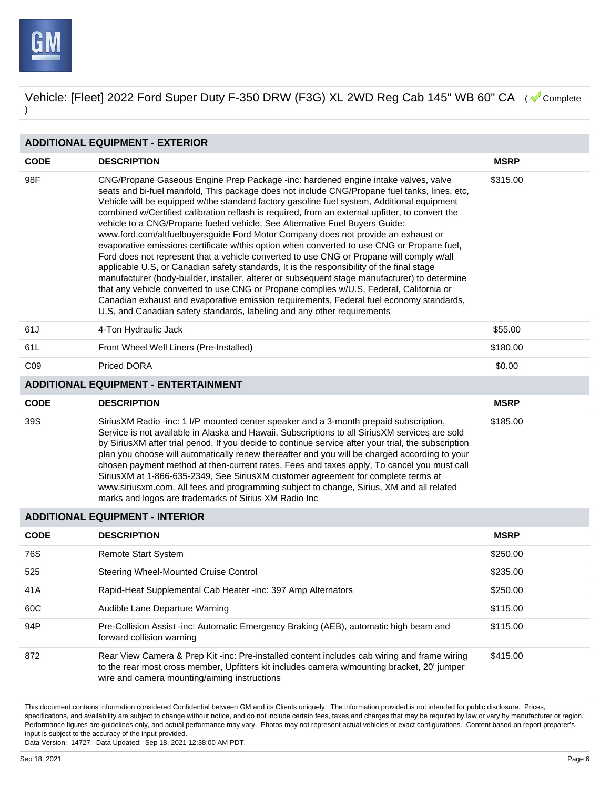

| <b>ADDITIONAL EQUIPMENT - EXTERIOR</b> |                                                                                                                                                                                                                                                                                                                                                                                                                                                                                                                                                                                                                                                                                                                                                                                                                                                                                                                                                                                                                                                                                                                                                                                                                   |             |  |  |
|----------------------------------------|-------------------------------------------------------------------------------------------------------------------------------------------------------------------------------------------------------------------------------------------------------------------------------------------------------------------------------------------------------------------------------------------------------------------------------------------------------------------------------------------------------------------------------------------------------------------------------------------------------------------------------------------------------------------------------------------------------------------------------------------------------------------------------------------------------------------------------------------------------------------------------------------------------------------------------------------------------------------------------------------------------------------------------------------------------------------------------------------------------------------------------------------------------------------------------------------------------------------|-------------|--|--|
| <b>CODE</b>                            | <b>DESCRIPTION</b>                                                                                                                                                                                                                                                                                                                                                                                                                                                                                                                                                                                                                                                                                                                                                                                                                                                                                                                                                                                                                                                                                                                                                                                                | <b>MSRP</b> |  |  |
| 98F                                    | CNG/Propane Gaseous Engine Prep Package -inc: hardened engine intake valves, valve<br>seats and bi-fuel manifold, This package does not include CNG/Propane fuel tanks, lines, etc,<br>Vehicle will be equipped w/the standard factory gasoline fuel system, Additional equipment<br>combined w/Certified calibration reflash is required, from an external upfitter, to convert the<br>vehicle to a CNG/Propane fueled vehicle, See Alternative Fuel Buyers Guide:<br>www.ford.com/altfuelbuyersguide Ford Motor Company does not provide an exhaust or<br>evaporative emissions certificate w/this option when converted to use CNG or Propane fuel,<br>Ford does not represent that a vehicle converted to use CNG or Propane will comply w/all<br>applicable U.S, or Canadian safety standards, It is the responsibility of the final stage<br>manufacturer (body-builder, installer, alterer or subsequent stage manufacturer) to determine<br>that any vehicle converted to use CNG or Propane complies w/U.S, Federal, California or<br>Canadian exhaust and evaporative emission requirements, Federal fuel economy standards,<br>U.S, and Canadian safety standards, labeling and any other requirements | \$315.00    |  |  |
| 61J                                    | 4-Ton Hydraulic Jack                                                                                                                                                                                                                                                                                                                                                                                                                                                                                                                                                                                                                                                                                                                                                                                                                                                                                                                                                                                                                                                                                                                                                                                              | \$55.00     |  |  |
| 61L                                    | Front Wheel Well Liners (Pre-Installed)                                                                                                                                                                                                                                                                                                                                                                                                                                                                                                                                                                                                                                                                                                                                                                                                                                                                                                                                                                                                                                                                                                                                                                           | \$180.00    |  |  |
| CO <sub>9</sub>                        | Priced DORA                                                                                                                                                                                                                                                                                                                                                                                                                                                                                                                                                                                                                                                                                                                                                                                                                                                                                                                                                                                                                                                                                                                                                                                                       | \$0.00      |  |  |
|                                        | <b>ADDITIONAL EQUIPMENT - ENTERTAINMENT</b>                                                                                                                                                                                                                                                                                                                                                                                                                                                                                                                                                                                                                                                                                                                                                                                                                                                                                                                                                                                                                                                                                                                                                                       |             |  |  |
| <b>CODE</b>                            | <b>DESCRIPTION</b>                                                                                                                                                                                                                                                                                                                                                                                                                                                                                                                                                                                                                                                                                                                                                                                                                                                                                                                                                                                                                                                                                                                                                                                                | <b>MSRP</b> |  |  |
| 39S                                    | SiriusXM Radio -inc: 1 I/P mounted center speaker and a 3-month prepaid subscription,<br>Service is not available in Alaska and Hawaii, Subscriptions to all SiriusXM services are sold<br>by SiriusXM after trial period, If you decide to continue service after your trial, the subscription<br>plan you choose will automatically renew thereafter and you will be charged according to your<br>chosen payment method at then-current rates, Fees and taxes apply, To cancel you must call<br>SiriusXM at 1-866-635-2349, See SiriusXM customer agreement for complete terms at<br>www.siriusxm.com, All fees and programming subject to change, Sirius, XM and all related<br>marks and logos are trademarks of Sirius XM Radio Inc                                                                                                                                                                                                                                                                                                                                                                                                                                                                          | \$185.00    |  |  |
|                                        |                                                                                                                                                                                                                                                                                                                                                                                                                                                                                                                                                                                                                                                                                                                                                                                                                                                                                                                                                                                                                                                                                                                                                                                                                   |             |  |  |

#### **ADDITIONAL EQUIPMENT - INTERIOR**

| <b>CODE</b> | <b>DESCRIPTION</b>                                                                                                                                                                                                                          | <b>MSRP</b> |
|-------------|---------------------------------------------------------------------------------------------------------------------------------------------------------------------------------------------------------------------------------------------|-------------|
| 76S         | <b>Remote Start System</b>                                                                                                                                                                                                                  | \$250.00    |
| 525         | Steering Wheel-Mounted Cruise Control                                                                                                                                                                                                       | \$235.00    |
| 41A         | Rapid-Heat Supplemental Cab Heater -inc: 397 Amp Alternators                                                                                                                                                                                | \$250.00    |
| 60C         | Audible Lane Departure Warning                                                                                                                                                                                                              | \$115.00    |
| 94P         | Pre-Collision Assist -inc: Automatic Emergency Braking (AEB), automatic high beam and<br>forward collision warning                                                                                                                          | \$115.00    |
| 872         | Rear View Camera & Prep Kit -inc: Pre-installed content includes cab wiring and frame wiring<br>to the rear most cross member, Upfitters kit includes camera w/mounting bracket, 20' jumper<br>wire and camera mounting/aiming instructions | \$415.00    |

This document contains information considered Confidential between GM and its Clients uniquely. The information provided is not intended for public disclosure. Prices, specifications, and availability are subject to change without notice, and do not include certain fees, taxes and charges that may be required by law or vary by manufacturer or region. Performance figures are guidelines only, and actual performance may vary. Photos may not represent actual vehicles or exact configurations. Content based on report preparer's input is subject to the accuracy of the input provided.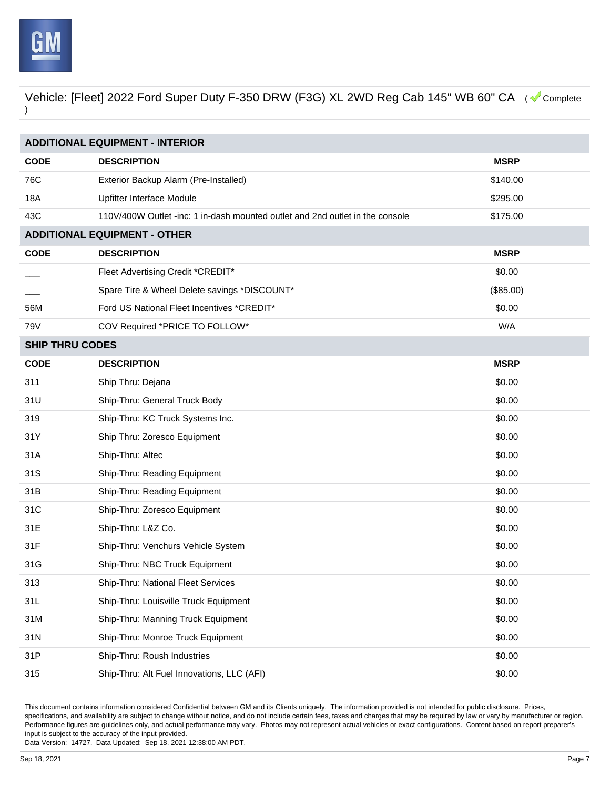

| <b>ADDITIONAL EQUIPMENT - INTERIOR</b> |                                                                               |             |  |
|----------------------------------------|-------------------------------------------------------------------------------|-------------|--|
| <b>CODE</b>                            | <b>DESCRIPTION</b>                                                            | <b>MSRP</b> |  |
| 76C                                    | Exterior Backup Alarm (Pre-Installed)                                         | \$140.00    |  |
| 18A                                    | Upfitter Interface Module                                                     | \$295.00    |  |
| 43C                                    | 110V/400W Outlet -inc: 1 in-dash mounted outlet and 2nd outlet in the console | \$175.00    |  |
|                                        | <b>ADDITIONAL EQUIPMENT - OTHER</b>                                           |             |  |
| <b>CODE</b>                            | <b>DESCRIPTION</b>                                                            | <b>MSRP</b> |  |
|                                        | Fleet Advertising Credit *CREDIT*                                             | \$0.00      |  |
|                                        | Spare Tire & Wheel Delete savings *DISCOUNT*                                  | (\$85.00)   |  |
| 56M                                    | Ford US National Fleet Incentives *CREDIT*                                    | \$0.00      |  |
| 79V                                    | COV Required *PRICE TO FOLLOW*                                                | W/A         |  |
| <b>SHIP THRU CODES</b>                 |                                                                               |             |  |
| <b>CODE</b>                            | <b>DESCRIPTION</b>                                                            | <b>MSRP</b> |  |
| 311                                    | Ship Thru: Dejana                                                             | \$0.00      |  |
| 31U                                    | Ship-Thru: General Truck Body                                                 | \$0.00      |  |
| 319                                    | Ship-Thru: KC Truck Systems Inc.                                              | \$0.00      |  |
| 31Y                                    | Ship Thru: Zoresco Equipment                                                  | \$0.00      |  |
| 31A                                    | Ship-Thru: Altec                                                              | \$0.00      |  |
| 31S                                    | Ship-Thru: Reading Equipment                                                  | \$0.00      |  |
| 31B                                    | Ship-Thru: Reading Equipment                                                  | \$0.00      |  |
| 31C                                    | Ship-Thru: Zoresco Equipment                                                  | \$0.00      |  |
| 31E                                    | Ship-Thru: L&Z Co.                                                            | \$0.00      |  |
| 31F                                    | Ship-Thru: Venchurs Vehicle System                                            | \$0.00      |  |
| 31G                                    | Ship-Thru: NBC Truck Equipment                                                | \$0.00      |  |
| 313                                    | Ship-Thru: National Fleet Services                                            | \$0.00      |  |
| 31L                                    | Ship-Thru: Louisville Truck Equipment                                         | \$0.00      |  |
| 31M                                    | Ship-Thru: Manning Truck Equipment                                            | \$0.00      |  |
| 31N                                    | Ship-Thru: Monroe Truck Equipment                                             | \$0.00      |  |
| 31P                                    | Ship-Thru: Roush Industries                                                   | \$0.00      |  |
| 315                                    | Ship-Thru: Alt Fuel Innovations, LLC (AFI)                                    | \$0.00      |  |

This document contains information considered Confidential between GM and its Clients uniquely. The information provided is not intended for public disclosure. Prices, specifications, and availability are subject to change without notice, and do not include certain fees, taxes and charges that may be required by law or vary by manufacturer or region. Performance figures are guidelines only, and actual performance may vary. Photos may not represent actual vehicles or exact configurations. Content based on report preparer's input is subject to the accuracy of the input provided.